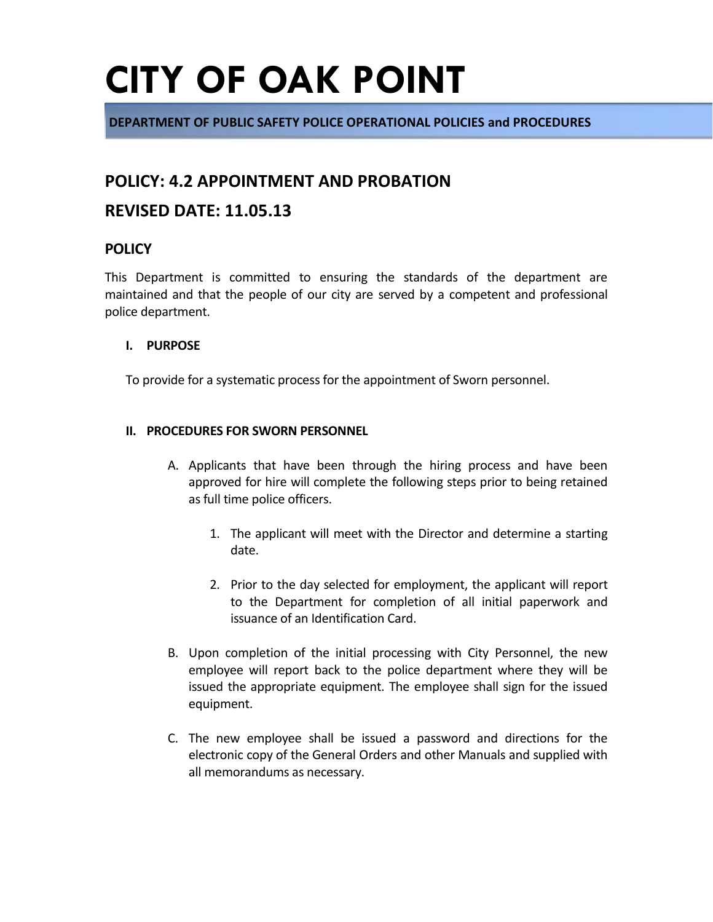# **CITY OF OAK POINT**

**DEPARTMENT OF PUBLIC SAFETY POLICE OPERATIONAL POLICIES and PROCEDURES**

## **POLICY: 4.2 APPOINTMENT AND PROBATION**

### **REVISED DATE: 11.05.13**

### **POLICY**

This Department is committed to ensuring the standards of the department are maintained and that the people of our city are served by a competent and professional police department.

#### **I. PURPOSE**

To provide for a systematic process for the appointment of Sworn personnel.

#### **II. PROCEDURES FOR SWORN PERSONNEL**

- A. Applicants that have been through the hiring process and have been approved for hire will complete the following steps prior to being retained as full time police officers.
	- 1. The applicant will meet with the Director and determine a starting date.
	- 2. Prior to the day selected for employment, the applicant will report to the Department for completion of all initial paperwork and issuance of an Identification Card.
- B. Upon completion of the initial processing with City Personnel, the new employee will report back to the police department where they will be issued the appropriate equipment. The employee shall sign for the issued equipment.
- C. The new employee shall be issued a password and directions for the electronic copy of the General Orders and other Manuals and supplied with all memorandums as necessary.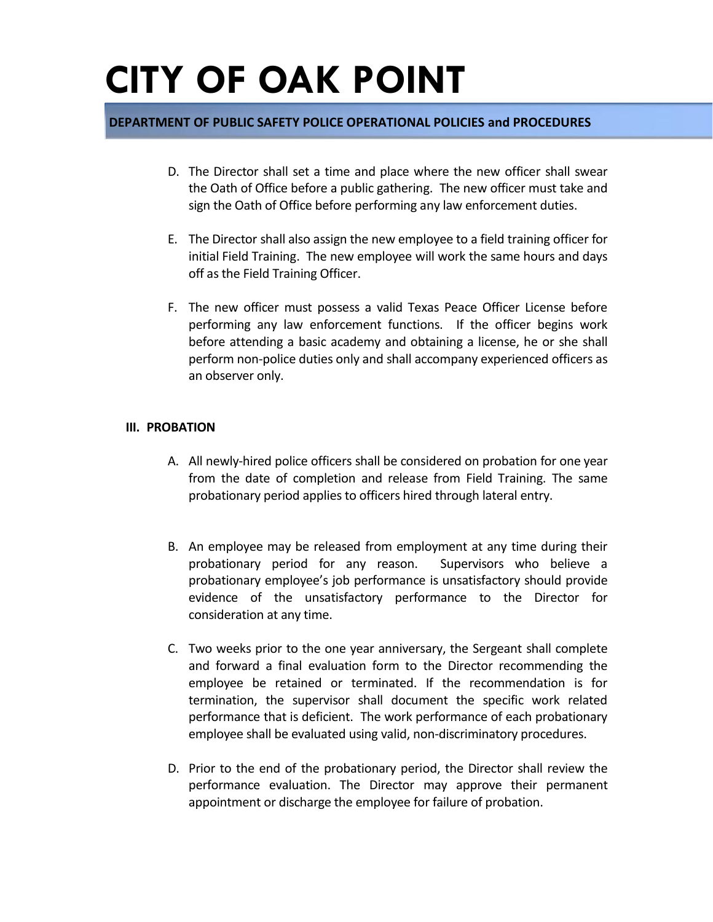# **CITY OF OAK POINT**

### **DEPARTMENT OF PUBLIC SAFETY POLICE OPERATIONAL POLICIES and PROCEDURES**

- D. The Director shall set a time and place where the new officer shall swear the Oath of Office before a public gathering. The new officer must take and sign the Oath of Office before performing any law enforcement duties.
- E. The Director shall also assign the new employee to a field training officer for initial Field Training. The new employee will work the same hours and days off as the Field Training Officer.
- F. The new officer must possess a valid Texas Peace Officer License before performing any law enforcement functions. If the officer begins work before attending a basic academy and obtaining a license, he or she shall perform non-police duties only and shall accompany experienced officers as an observer only.

#### **III. PROBATION**

- A. All newly-hired police officers shall be considered on probation for one year from the date of completion and release from Field Training. The same probationary period applies to officers hired through lateral entry.
- B. An employee may be released from employment at any time during their probationary period for any reason. Supervisors who believe a probationary employee's job performance is unsatisfactory should provide evidence of the unsatisfactory performance to the Director for consideration at any time.
- C. Two weeks prior to the one year anniversary, the Sergeant shall complete and forward a final evaluation form to the Director recommending the employee be retained or terminated. If the recommendation is for termination, the supervisor shall document the specific work related performance that is deficient. The work performance of each probationary employee shall be evaluated using valid, non-discriminatory procedures.
- D. Prior to the end of the probationary period, the Director shall review the performance evaluation. The Director may approve their permanent appointment or discharge the employee for failure of probation.